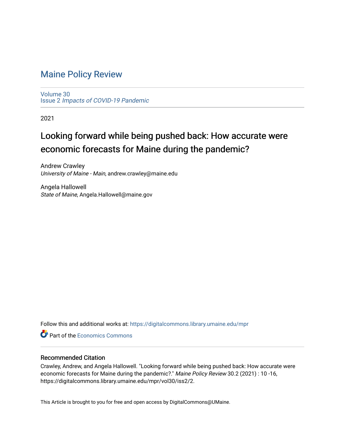# [Maine Policy Review](https://digitalcommons.library.umaine.edu/mpr)

[Volume 30](https://digitalcommons.library.umaine.edu/mpr/vol30) Issue 2 [Impacts of COVID-19 Pandemic](https://digitalcommons.library.umaine.edu/mpr/vol30/iss2)

2021

# Looking forward while being pushed back: How accurate were economic forecasts for Maine during the pandemic?

Andrew Crawley University of Maine - Main, andrew.crawley@maine.edu

Angela Hallowell State of Maine, Angela.Hallowell@maine.gov

Follow this and additional works at: [https://digitalcommons.library.umaine.edu/mpr](https://digitalcommons.library.umaine.edu/mpr?utm_source=digitalcommons.library.umaine.edu%2Fmpr%2Fvol30%2Fiss2%2F2&utm_medium=PDF&utm_campaign=PDFCoverPages)

**C** Part of the [Economics Commons](http://network.bepress.com/hgg/discipline/340?utm_source=digitalcommons.library.umaine.edu%2Fmpr%2Fvol30%2Fiss2%2F2&utm_medium=PDF&utm_campaign=PDFCoverPages)

#### Recommended Citation

Crawley, Andrew, and Angela Hallowell. "Looking forward while being pushed back: How accurate were economic forecasts for Maine during the pandemic?." Maine Policy Review 30.2 (2021) : 10 -16, https://digitalcommons.library.umaine.edu/mpr/vol30/iss2/2.

This Article is brought to you for free and open access by DigitalCommons@UMaine.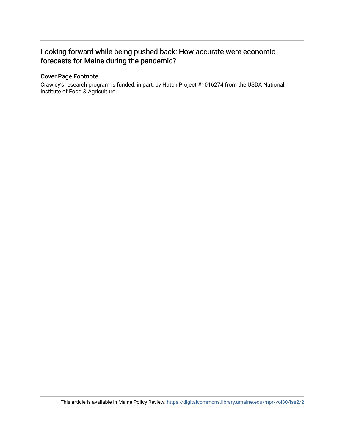## Looking forward while being pushed back: How accurate were economic forecasts for Maine during the pandemic?

### Cover Page Footnote

Crawley's research program is funded, in part, by Hatch Project #1016274 from the USDA National Institute of Food & Agriculture.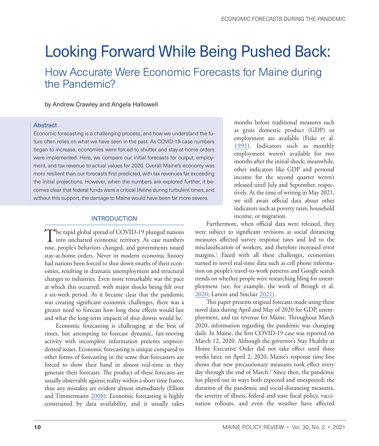# <span id="page-2-0"></span>Looking Forward While Being Pushed Back:

How Accurate Were Economic Forecasts for Maine during the Pandemic?

by Andrew Crawley and Angela Hallowell

#### Abstract

Economic forecasting is a challenging process, and how we understand the future often relies on what we have seen in the past. As COVID-19 case numbers began to increase, economies were forced to shutter and stay-at-home orders were implemented. Here, we compare our initial forecasts for output, employment, and tax revenue to actual values for 2020. Overall Maine's economy was more resilient than our forecasts first predicted, with tax revenues far exceeding the initial projections. However, when the numbers are explored further, it becomes clear that federal funds were a critical lifeline during turbulent times, and without this support, the damage to Maine would have been far more severe.

#### INTRODUCTION

The rapid global spread of COVID-19 plunged nations<br>into uncharted economic territory. As case numbers rose, people's behaviors changed, and governments issued stay-at-home orders. Never in modern economic history had nations been forced to shut down swaths of their economies, resulting in dramatic unemployment and structural changes to industries. Even more remarkable was the pace at which this occurred, with major shocks being felt over a six-week period. As it became clear that the pandemic was creating significant economic challenges, there was a greater need to forecast how long these effects would last and what the long-term impacts of shut downs would be.

Economic forecasting is challenging at the best of times, but attempting to forecast dynamic, fast-moving activity with incomplete information presents unprecedented issues. Economic forecasting is unique compared to other forms of forecasting in the sense that forecasters are forced to show their hand in almost real-time as they generate their forecasts. The product of these forecasts are usually observable against reality within a short time frame, thus any mistakes are evident almost immediately (Elliott and Timmermann [2008\)](#page-8-0). Economic forecasting is highly constrained by data availability, and it usually takes

months before traditional measures such as gross domestic product (GDP) or employment are available (Fiske et al. [1991\)](#page-8-1). Indicators such as monthly employment weren't available for two months after the initial shock; meanwhile, other indicators like GDP and personal income for the second quarter weren't released until July and September, respectively. At the time of writing in May 2021, we still await official data about other indicators such as poverty rates, household income, or migration.

Furthermore, when official data were released, they were subject to significant revisions as social distancing measures affected survey response rates and led to the misclassification of workers, and therefore increased error margins[.1](#page-7-0) Faced with all these challenges, economists turned to novel real-time data such as cell phone information on people's travel-to-work patterns and Google search trends on whether people were researching filing for unemployment (see, for example, the work of Brough et al. [2020](#page-8-2); Larson and Sinclair [2021\)](#page-8-3).

This paper presents original forecasts made using these novel data during April and May of 2020 for GDP, unemployment, and tax revenue for Maine. Throughout March 2020, information regarding the pandemic was changing daily. In Maine, the first COVID-19 case was reported on March 12, 2020. Although the governor's Stay Healthy at Home Executive Order did not take effect until three weeks later, on April 2, 2020, Maine's response time line shows that new precautionary measures took effect every day through the end of March.<sup>[2](#page-7-0)</sup> Since then, the pandemic has played out in ways both expected and unexpected; the duration of the pandemic and social-distancing measures, the severity of illness, federal and state fiscal policy, vaccination rollouts, and even the weather have affected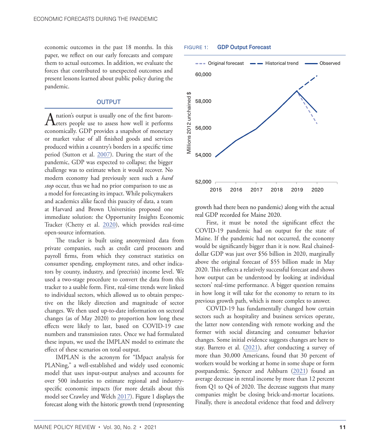economic outcomes in the past 18 months. In this paper, we reflect on our early forecasts and compare them to actual outcomes. In addition, we evaluate the forces that contributed to unexpected outcomes and present lessons learned about public policy during the pandemic.

#### OUTPUT

A nation's output is usually one of the first barom-<br>eters people use to assess how well it performs economically. GDP provides a snapshot of monetary or market value of all finished goods and services produced within a country's borders in a specific time period (Sutton et al. [2007\)](#page-8-4). During the start of the pandemic, GDP was expected to collapse; the bigger challenge was to estimate when it would recover. No modern economy had previously seen such a *hard stop* occur, thus we had no prior comparison to use as a model for forecasting its impact. While policymakers and academics alike faced this paucity of data, a team at Harvard and Brown Universities proposed one immediate solution: the Opportunity Insights Economic Tracker (Chetty et al. [2020\)](#page-8-5), which provides real-time open-source information.

The tracker is built using anonymized data from private companies, such as credit card processors and payroll firms, from which they construct statistics on consumer spending, employment rates, and other indicators by county, industry, and (precrisis) income level. We used a two-stage procedure to convert the data from this tracker to a usable form. First, real-time trends were linked to individual sectors, which allowed us to obtain perspective on the likely direction and magnitude of sector changes. We then used up-to-date information on sectoral changes (as of May 2020) to proportion how long these effects were likely to last, based on COVID-19 case numbers and transmission rates. Once we had formulated these inputs, we used the IMPLAN model to estimate the effect of these scenarios on total output.

IMPLAN is the acronym for "IMpact analysis for PLANing," a well-established and widely used economic model that uses input-output analyses and accounts for over 500 industries to estimate regional and industryspecific economic impacts (for more details about this model see Crawley and Welch [2017](#page-8-6)). Figure 1 displays the forecast along with the historic growth trend (representing

#### FIGURE 1: GDP Output Forecast



growth had there been no pandemic) along with the actual real GDP recorded for Maine 2020.

First, it must be noted the significant effect the COVID-19 pandemic had on output for the state of Maine. If the pandemic had not occurred, the economy would be significantly bigger than it is now. Real chaineddollar GDP was just over \$56 billion in 2020, marginally above the original forecast of \$55 billion made in May 2020. This reflects a relatively successful forecast and shows how output can be understood by looking at individual sectors' real-time performance. A bigger question remains in how long it will take for the economy to return to its previous growth path, which is more complex to answer.

COVID-19 has fundamentally changed how certain sectors such as hospitality and business services operate, the latter now contending with remote working and the former with social distancing and consumer behavior changes. Some initial evidence suggests changes are here to stay. Barrero et al.  $(2021)$  $(2021)$ , after conducting a survey of more than 30,000 Americans, found that 30 percent of workers would be working at home in some shape or form postpandemic. Spencer and Ashburn [\(2021](#page-8-8)) found an average decrease in rental income by more than 12 percent from Q1 to Q4 of 2020. The decrease suggests that many companies might be closing brick-and-mortar locations. Finally, there is anecdotal evidence that food and delivery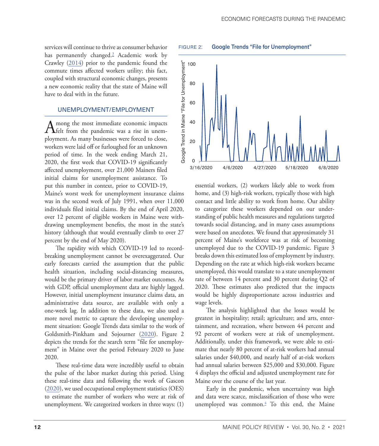<span id="page-4-0"></span>services will continue to thrive as consumer behavior has permanently changed.<sup>[3](#page-7-0)</sup> Academic work by Crawley ([2014\)](#page-8-9) prior to the pandemic found the commute times affected workers utility; this fact, coupled with structural economic changes, presents a new economic reality that the state of Maine will have to deal with in the future.

#### UNEMPLOYMENT/EMPLOYMENT

A mong the most immediate economic impacts<br>
Helt from the pandemic was a rise in unemployment. As many businesses were forced to close, workers were laid off or furloughed for an unknown period of time. In the week ending March 21, 2020, the first week that COVID-19 significantly affected unemployment, over 21,000 Mainers filed initial claims for unemployment assistance. To put this number in context, prior to COVID-19,

Maine's worst week for unemployment insurance claims was in the second week of July 1991, when over 11,000 individuals filed initial claims. By the end of April 2020, over 12 percent of eligible workers in Maine were withdrawing unemployment benefits, the most in the state's history (although that would eventually climb to over 27 percent by the end of May 2020).

The rapidity with which COVID-19 led to recordbreaking unemployment cannot be overexaggerated. Our early forecasts carried the assumption that the public health situation, including social-distancing measures, would be the primary driver of labor market outcomes. As with GDP, official unemployment data are highly lagged. However, initial unemployment insurance claims data, an administrative data source, are available with only a one-week lag. In addition to these data, we also used a more novel metric to capture the developing unemployment situation: Google Trends data similar to the work of Goldsmith-Pinkham and Sojourner ([2020\)](#page-8-10). Figure 2 depicts the trends for the search term "file for unemployment" in Maine over the period February 2020 to June 2020.

These real-time data were incredibly useful to obtain the pulse of the labor market during this period. Using these real-time data and following the work of Gascon [\(2020](#page-8-11)), we used occupational employment statistics (OES) to estimate the number of workers who were at risk of unemployment. We categorized workers in three ways: (1)



essential workers, (2) workers likely able to work from home, and (3) high-risk workers, typically those with high contact and little ability to work from home. Our ability to categorize these workers depended on our understanding of public health measures and regulations targeted towards social distancing, and in many cases assumptions were based on anecdotes. We found that approximately 31 percent of Maine's workforce was at risk of becoming unemployed due to the COVID-19 pandemic. Figure 3 breaks down this estimated loss of employment by industry. Depending on the rate at which high-risk workers became unemployed, this would translate to a state unemployment rate of between 14 percent and 30 percent during Q2 of 2020. These estimates also predicted that the impacts would be highly disproportionate across industries and wage levels.

The analysis highlighted that the losses would be greatest in hospitality; retail; agriculture; and arts, entertainment, and recreation, where between 44 percent and 92 percent of workers were at risk of unemployment. Additionally, under this framework, we were able to estimate that nearly 80 percent of at-risk workers had annual salaries under \$40,000, and nearly half of at-risk workers had annual salaries between \$25,000 and \$30,000. Figure 4 displays the official and adjusted unemployment rate for Maine over the course of the last year.

Early in the pandemic, when uncertainty was high and data were scarce, misclassification of those who were unemployed was common[.4](#page-7-0) To this end, the Maine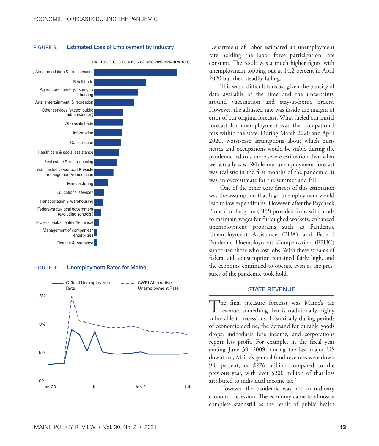#### <span id="page-5-0"></span>FIGURE 3: Estimated Loss of Employment by Industry



0% 10% 20% 30% 40% 50% 60% 70% 80% 90%100%

#### FIGURE 4: Unemployment Rates for Maine



Department of Labor estimated an unemployment rate holding the labor force participation rate constant. The result was a much higher figure with unemployment topping out at 14.2 percent in April 2020 but then steadily falling.

This was a difficult forecast given the paucity of data available at the time and the uncertainty around vaccination and stay-at-home orders. However, the adjusted rate was inside the margin of error of our original forecast. What fueled our initial forecast for unemployment was the occupational mix within the state. During March 2020 and April 2020, worst-case assumptions about which businesses and occupations would be stable during the pandemic led to a more severe estimation than what we actually saw. While our unemployment forecast was realistic in the first months of the pandemic, it was an overestimate for the summer and fall.

One of the other core drivers of this estimation was the assumption that high unemployment would lead to low expenditures. However, after the Paycheck Protection Program (PPP) provided firms with funds to maintain wages for furloughed workers, enhanced unemployment programs such as Pandemic Unemployment Assistance (PUA) and Federal Pandemic Unemployment Compensation (FPUC) supported those who lost jobs. With these streams of federal aid, consumption remained fairly high, and the economy continued to operate even as the pressures of the pandemic took hold.

#### STATE REVENUE

The final measure forecast was Maine's tax revenue, something that is traditionally highly vulnerable to recessions. Historically during periods of economic decline, the demand for durable goods drops, individuals lose income, and corporations report less profit. For example, in the fiscal year ending June 30, 2009, during the last major US downturn, Maine's general fund revenues were down 9.0 percent, or \$276 million compared to the previous year, with over \$200 million of that loss attributed to individual income tax.<sup>[5](#page-7-0)</sup>

However, the pandemic was not an ordinary economic recession. The economy came to almost a complete standstill as the result of public health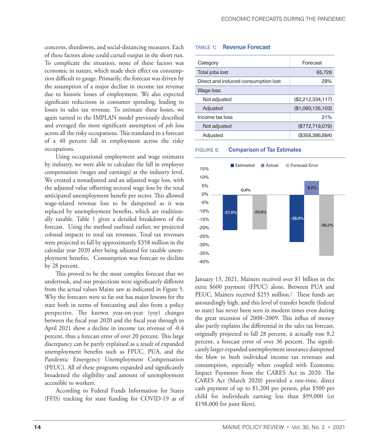<span id="page-6-0"></span>concerns, shutdowns, and social-distancing measures. Each of these factors alone could curtail output in the short run. To complicate the situation, none of these factors was economic in nature, which made their effect on consumption difficult to gauge. Primarily, the forecast was driven by the assumption of a major decline in income tax revenue due to historic losses of employment. We also expected significant reductions in consumer spending, leading to losses in sales tax revenue. To estimate these losses, we again turned to the IMPLAN model previously described and averaged the most significant assumption of job loss across all the risky occupations. This translated to a forecast of a 40 percent fall in employment across the risky occupations.

Using occupational employment and wage estimates by industry, we were able to calculate the fall in employee compensation (wages and earnings) at the industry level. We created a nonadjusted and an adjusted wage loss, with the adjusted value offsetting sectoral wage loss by the total anticipated unemployment benefit per sector. This allowed wage-related revenue loss to be dampened as it was replaced by unemployment benefits, which are traditionally taxable. Table 1 gives a detailed breakdown of the forecast. Using the method outlined earlier, we projected colossal impacts to total tax revenues. Total tax revenues were projected to fall by approximately \$358 million in the calendar year 2020 after being adjusted for taxable unemployment benefits. Consumption was forecast to decline by 28 percent.

This proved to be the most complex forecast that we undertook, and our projections were significantly different from the actual values Maine saw as indicated in Figure 5. Why the forecasts were so far out has major lessons for the state both in terms of forecasting and also from a policy perspective. The known year-on-year (yoy) changes between the fiscal year 2020 and the fiscal year through to April 2021 show a decline in income tax revenue of -0.4 percent, thus a forecast error of over 20 percent. This large discrepancy can be partly explained as a result of expanded unemployment benefits such as FPUC, PUA, and the Pandemic Emergency Unemployment Compensation (PEUC). All of these programs expanded and significantly broadened the eligibility and amount of unemployment accessible to workers.

According to Federal Funds Information for States (FFIS) tracking for state funding for COVID-19 as of

#### table 1: Revenue Forecast

| Category                            | Forecast          |
|-------------------------------------|-------------------|
| Total jobs lost                     | 65,728            |
| Direct and induced consumption lost | 28%               |
| Wage loss                           |                   |
| Not adjusted                        | (\$2,212,334,117) |
| Adjusted                            | (\$1,060,135,103) |
| Income tax loss                     | 21%               |
| Not adjusted                        | (\$772,719,079)   |
| Adjusted                            | (\$358,386,884)   |

#### FIGURE 5: Comparison of Tax Estimates



January 13, 2021, Mainers received over \$1 billion in the extra \$600 payment (FPUC) alone. Between PUA and PEUC, Mainers received \$255 million.<sup>6</sup> These funds are astoundingly high, and this level of transfer benefit (federal to state) has never been seen in modern times even during the great recession of 2008–2009. This influx of money also partly explains the differential in the sales tax forecast, originally projected to fall 28 percent, it actually rose 8.2 percent, a forecast error of over 36 percent. The significantly larger expanded unemployment insurance dampened the blow to both individual income tax revenues and consumption, especially when coupled with Economic Impact Payments from the CARES Act in 2020. The CARES Act (March 2020) provided a one-time, direct cash payment of up to \$1,200 per person, plus \$500 per child for individuals earning less than \$99,000 (or \$198,000 for joint filers).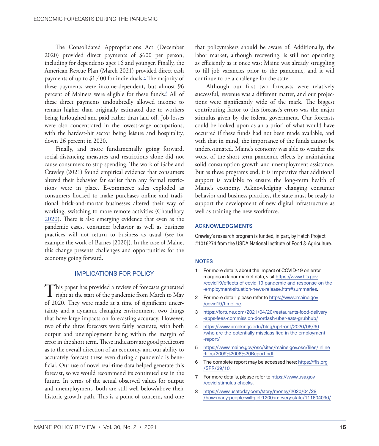<span id="page-7-0"></span>The Consolidated Appropriations Act (December 2020) provided direct payments of \$600 per person, including for dependents ages 16 and younger. Finally, the American Rescue Plan (March 2021) provided direct cash payments of up to \$1,400 for individuals.<sup>7</sup> The majority of these payments were income-dependent, but almost 96 percent of Mainers were eligible for these funds.<sup>8</sup> All of these direct payments undoubtedly allowed income to remain higher than originally estimated due to workers being furloughed and paid rather than laid off. Job losses were also concentrated in the lowest-wage occupations, with the hardest-hit sector being leisure and hospitality, down 26 percent in 2020.

Finally, and more fundamentally going forward, social-distancing measures and restrictions alone did not cause consumers to stop spending. The work of Gabe and Crawley (2021) found empirical evidence that consumers altered their behavior far earlier than any formal restrictions were in place. E-commerce sales exploded as consumers flocked to make purchases online and traditional brick-and-mortar businesses altered their way of working, switching to more remote activities (Chaudhary [2020](#page-8-12)). There is also emerging evidence that even as the pandemic eases, consumer behavior as well as business practices will not return to business as usual (see for example the work of Barnes [2020]). In the case of Maine, this change presents challenges and opportunities for the economy going forward.

#### IMPLICATIONS FOR POLICY

This paper has provided a review of forecasts generated<br>right at the start of the pandemic from March to May of 2020. They were made at a time of significant uncertainty and a dynamic changing environment, two things that have large impacts on forecasting accuracy. However, two of the three forecasts were fairly accurate, with both output and unemployment being within the margin of error in the short term. These indicators are good predictors as to the overall direction of an economy, and our ability to accurately forecast these even during a pandemic is beneficial. Our use of novel real-time data helped generate this forecast, so we would recommend its continued use in the future. In terms of the actual observed values for output and unemployment, both are still well below/above their historic growth path. This is a point of concern, and one

that policymakers should be aware of. Additionally, the labor market, although recovering, is still not operating as efficiently as it once was; Maine was already struggling to fill job vacancies prior to the pandemic, and it will continue to be a challenge for the state.

Although our first two forecasts were relatively successful, revenue was a different matter, and our projections were significantly wide of the mark. The biggest contributing factor to this forecast's errors was the major stimulus given by the federal government. Our forecasts could be looked upon as an a priori of what would have occurred if these funds had not been made available, and with that in mind, the importance of the funds cannot be underestimated. Maine's economy was able to weather the worst of the short-term pandemic effects by maintaining solid consumption growth and unemployment assistance. But as these programs end, it is imperative that additional support is available to ensure the long-term health of Maine's economy. Acknowledging changing consumer behavior and business practices, the state must be ready to support the development of new digital infrastructure as well as training the new workforce.

#### ACKNOWLEDGMENTS

Crawley's research program is funded, in part, by Hatch Project #1016274 from the USDA National Institute of Food & Agriculture.

#### **NOTES**

- [1](#page-2-0) For more details about the impact of COVID-19 on error margins in labor market data, visit [https://www.bls.gov](https://www.bls.gov/covid19/effects-of-covid-19-pandemic-and-response-on-the-employment-situation-news-release.htm#summaries) [/covid19/effects-of-covid-19-pandemic-and-response-on-the](https://www.bls.gov/covid19/effects-of-covid-19-pandemic-and-response-on-the-employment-situation-news-release.htm#summaries) [-employment-situation-news-release.htm#summaries.](https://www.bls.gov/covid19/effects-of-covid-19-pandemic-and-response-on-the-employment-situation-news-release.htm#summaries)
- [2](#page-2-0) For more detail, please refer to [https://www.maine.gov](https://www.maine.gov/covid19/timeline) [/covid19/timeline.](https://www.maine.gov/covid19/timeline)
- [3](#page-4-0) [https://fortune.com/2021/04/20/restaurants-food-delivery](https://fortune.com/2021/04/20/restaurants-food-delivery-apps-fees-commission-doordash-uber-eats-grubhub/) [-apps-fees-commission-doordash-uber-eats-grubhub/](https://fortune.com/2021/04/20/restaurants-food-delivery-apps-fees-commission-doordash-uber-eats-grubhub/)
- [4](#page-4-0) [https://www.brookings.edu/blog/up-front/2020/06/30](https://www.brookings.edu/blog/up-front/2020/06/30/who-are-the-potentially-misclassified-in-the-employment-report/) [/who-are-the-potentially-misclassified-in-the-employment](https://www.brookings.edu/blog/up-front/2020/06/30/who-are-the-potentially-misclassified-in-the-employment-report/) [-report/](https://www.brookings.edu/blog/up-front/2020/06/30/who-are-the-potentially-misclassified-in-the-employment-report/)
- [5](#page-5-0) [https://www.maine.gov/osc/sites/maine.gov.osc/files/inline](https://www.maine.gov/osc/sites/maine.gov.osc/files/inline-files/2009%2006%20Report.pdf) [-files/2009%2006%20Report.pdf](https://www.maine.gov/osc/sites/maine.gov.osc/files/inline-files/2009%2006%20Report.pdf)
- [6](#page-6-0) The complete report may be accessed here: [https://ffis.org](https://ffis.org/SPR/39/10) [/SPR/39/10.](https://ffis.org/SPR/39/10)
- 7 For more details, please refer to [https://www.usa.gov](https://www.usa.gov/covid-stimulus-checks) [/covid-stimulus-checks.](https://www.usa.gov/covid-stimulus-checks)
- 8 [https://www.usatoday.com/story/money/2020/04/28](https://www.usatoday.com/story/money/2020/04/28/how-many-people-will-get-1200-in-every-state/111604090/) [/how-many-people-will-get-1200-in-every-state/111604090/](https://www.usatoday.com/story/money/2020/04/28/how-many-people-will-get-1200-in-every-state/111604090/)